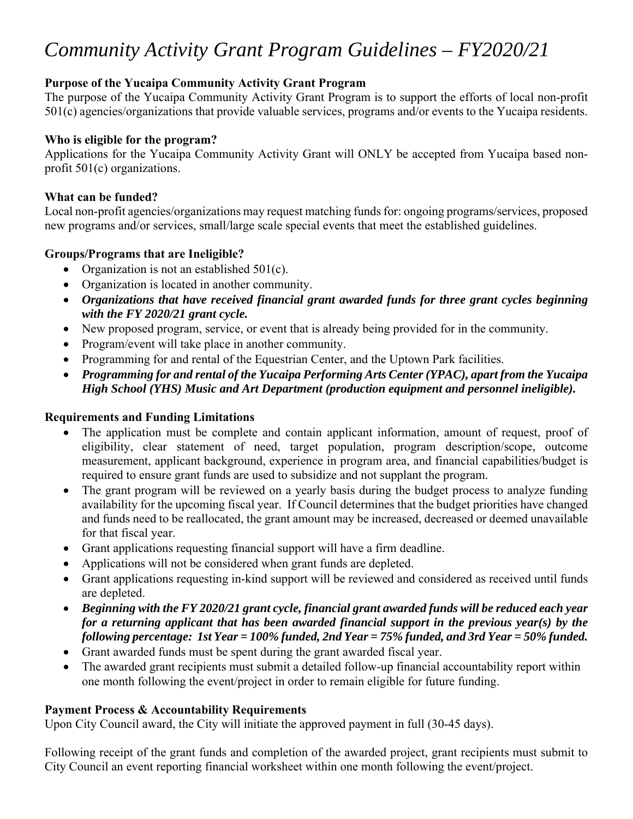# *Community Activity Grant Program Guidelines – FY2020/21*

## **Purpose of the Yucaipa Community Activity Grant Program**

The purpose of the Yucaipa Community Activity Grant Program is to support the efforts of local non-profit 501(c) agencies/organizations that provide valuable services, programs and/or events to the Yucaipa residents.

### **Who is eligible for the program?**

Applications for the Yucaipa Community Activity Grant will ONLY be accepted from Yucaipa based nonprofit 501(c) organizations.

### **What can be funded?**

Local non-profit agencies/organizations may request matching funds for: ongoing programs/services, proposed new programs and/or services, small/large scale special events that meet the established guidelines.

### **Groups/Programs that are Ineligible?**

- Organization is not an established  $501(c)$ .
- Organization is located in another community.
- *Organizations that have received financial grant awarded funds for three grant cycles beginning with the FY 2020/21 grant cycle.*
- New proposed program, service, or event that is already being provided for in the community.
- Program/event will take place in another community.
- Programming for and rental of the Equestrian Center, and the Uptown Park facilities.
- *Programming for and rental of the Yucaipa Performing Arts Center (YPAC), apart from the Yucaipa High School (YHS) Music and Art Department (production equipment and personnel ineligible).*

#### **Requirements and Funding Limitations**

- The application must be complete and contain applicant information, amount of request, proof of eligibility, clear statement of need, target population, program description/scope, outcome measurement, applicant background, experience in program area, and financial capabilities/budget is required to ensure grant funds are used to subsidize and not supplant the program.
- The grant program will be reviewed on a yearly basis during the budget process to analyze funding availability for the upcoming fiscal year. If Council determines that the budget priorities have changed and funds need to be reallocated, the grant amount may be increased, decreased or deemed unavailable for that fiscal year.
- Grant applications requesting financial support will have a firm deadline.
- Applications will not be considered when grant funds are depleted.
- Grant applications requesting in-kind support will be reviewed and considered as received until funds are depleted.
- *Beginning with the FY 2020/21 grant cycle, financial grant awarded funds will be reduced each year for a returning applicant that has been awarded financial support in the previous year(s) by the following percentage: 1st Year = 100% funded, 2nd Year = 75% funded, and 3rd Year = 50% funded.*
- Grant awarded funds must be spent during the grant awarded fiscal year.
- The awarded grant recipients must submit a detailed follow-up financial accountability report within one month following the event/project in order to remain eligible for future funding.

#### **Payment Process & Accountability Requirements**

Upon City Council award, the City will initiate the approved payment in full (30-45 days).

Following receipt of the grant funds and completion of the awarded project, grant recipients must submit to City Council an event reporting financial worksheet within one month following the event/project.